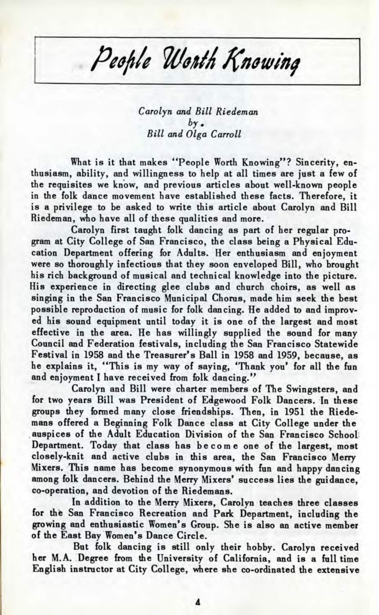## People Worth Knowing

*Carolyn and Bill Riedeman by. Bill and Olga Carroll*

What is it that makes "People Worth Knowing"? Sincerity, enthusiasm, ability, and willingness to help at all times are just a few of the requisites we know, and previous articles about well-known people in the folk dance movement have established these facts. Therefore, it is a privilege to be asked to write this article about Carolyn and Bill Riedeman, who have all of these qualities and more.

Carolyn first taught folk dancing as part of her regular program at City College of San Francisco, the class being a Physical Education Department offering for Adults. Her enthusiasm and enjoyment were so thoroughly infectious that they soon enveloped Bill, who brought his rich background of musical and technical knowledge into the picture. His experience in directing glee clubs and church choirs, as well as singing in the San Francisco Municipal Chorus, made him seek the best possible reproduction of music for folk dancing. He added to and improved his sound equipment until today it is one of the largest and most effective in the area. He has willingly supplied the sound for many Council and Federation festivals, including the San Francisco Statewide Festival in 1958 and the Treasurer's Ball in 1958 and 1959, because, as he explains it, "This is my way of saying, 'Thank you' for all the fun and enjoyment I have received from folk dancing."

Carolyn and Bill were charter members of The Swingsters, and for two years Bill was President of Edgewood Folk Dancers. In these groups they formed many close friendships. Then, in 1951 the Riedemans offered a Beginning Folk Dance class at City College under the auspices of the Adult Education Division of the San Francisco School Department. Today that class has becom e one of the largest, most closely-knit and active clubs in this area, the San Francisco Merry Mixers. This name has become synonymous with fun and happy dancing among folk dancers. Behind the Merry Mixers' success lies the guidance, co-operation, and devotion of the Riedemans.

In addition to the Merry Mixers, Carolyn teaches three classes for the San Francisco Recreation and Park Department, including the growing and enthusiastic Women's Group. She is also an active member of the East Bay Women's Dance Circle.

But folk dancing is still only their hobby. Carolyn received her M.A. Degree from the University of California, and is a full time English instructor at City College, where she co-ordinated the extensive